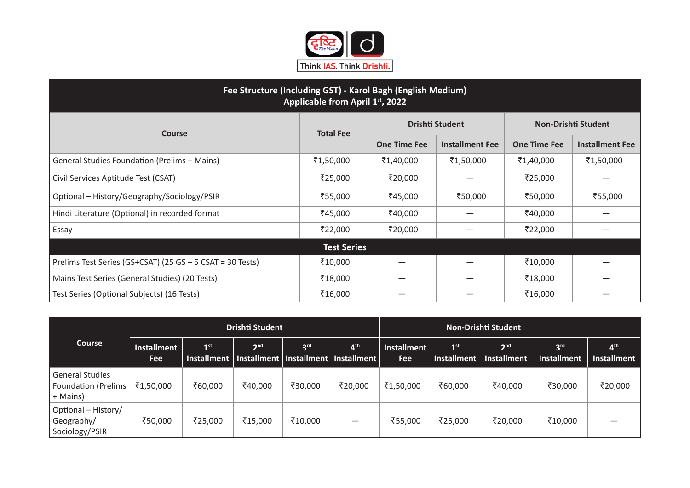

| Fee Structure (Including GST) - Karol Bagh (English Medium)<br>Applicable from April 1st, 2022 |                  |                     |                        |                            |                        |  |  |  |  |  |
|------------------------------------------------------------------------------------------------|------------------|---------------------|------------------------|----------------------------|------------------------|--|--|--|--|--|
| <b>Course</b>                                                                                  | <b>Total Fee</b> |                     | <b>Drishti Student</b> | <b>Non-Drishti Student</b> |                        |  |  |  |  |  |
|                                                                                                |                  | <b>One Time Fee</b> | <b>Installment Fee</b> | <b>One Time Fee</b>        | <b>Installment Fee</b> |  |  |  |  |  |
| <b>General Studies Foundation (Prelims + Mains)</b>                                            | ₹1,50,000        | ₹1,40,000           | ₹1,50,000              | ₹1,40,000                  | ₹1,50,000              |  |  |  |  |  |
| Civil Services Aptitude Test (CSAT)                                                            | ₹25,000          | ₹20,000             |                        | ₹25,000                    |                        |  |  |  |  |  |
| Optional - History/Geography/Sociology/PSIR                                                    | ₹55,000          | ₹45,000             | ₹50,000                | ₹50,000                    | ₹55,000                |  |  |  |  |  |
| Hindi Literature (Optional) in recorded format                                                 | ₹45,000          | ₹40,000             |                        | ₹40,000                    |                        |  |  |  |  |  |
| Essay                                                                                          | ₹22,000          | ₹20,000             |                        | ₹22,000                    |                        |  |  |  |  |  |
| <b>Test Series</b>                                                                             |                  |                     |                        |                            |                        |  |  |  |  |  |
| Prelims Test Series (GS+CSAT) (25 GS + 5 CSAT = 30 Tests)                                      | ₹10,000          |                     |                        | ₹10,000                    |                        |  |  |  |  |  |
| Mains Test Series (General Studies) (20 Tests)                                                 | ₹18,000          |                     |                        | ₹18,000                    |                        |  |  |  |  |  |
| Test Series (Optional Subjects) (16 Tests)                                                     | ₹16,000          |                     |                        | ₹16,000                    |                        |  |  |  |  |  |

| <b>Course</b>                                                    | Drishti Student           |                 |                                                                          |                 | <b>Non-Drishti Student</b> |                                  |                 |                                              |                                       |                                       |
|------------------------------------------------------------------|---------------------------|-----------------|--------------------------------------------------------------------------|-----------------|----------------------------|----------------------------------|-----------------|----------------------------------------------|---------------------------------------|---------------------------------------|
|                                                                  | Installment<br><b>Fee</b> | 1 <sup>st</sup> | 2 <sub>nd</sub><br>Installment   Installment   Installment   Installment | 3 <sup>rd</sup> | 4 <sup>th</sup>            | <b>Installment</b><br><b>Fee</b> | 1 <sup>st</sup> | 2 <sub>nd</sub><br>Installment   Installment | 3 <sup>rd</sup><br><b>Installment</b> | 4 <sup>th</sup><br><b>Installment</b> |
| <b>General Studies</b><br><b>Foundation (Prelims</b><br>+ Mains) | ₹1,50,000                 | ₹60,000         | ₹40,000                                                                  | ₹30,000         | ₹20,000                    | ₹1,50,000                        | ₹60,000         | ₹40,000                                      | ₹30,000                               | ₹20,000                               |
| Optional - History/<br>Geography/<br>Sociology/PSIR              | ₹50,000                   | ₹25,000         | ₹15,000                                                                  | ₹10,000         |                            | ₹55,000                          | ₹25,000         | ₹20,000                                      | ₹10,000                               |                                       |